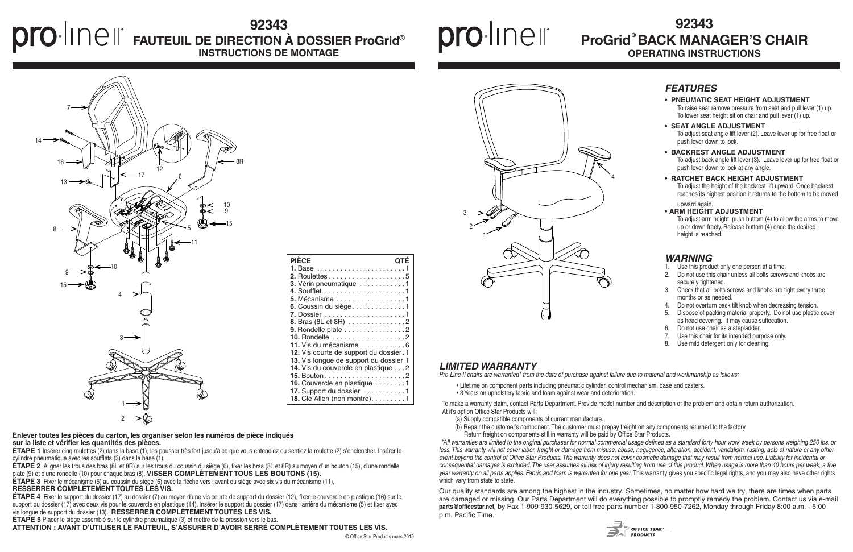# **92343 FAUTEUIL DE DIRECTION À DOSSIER ProGrid® INSTRUCTIONS DE MONTAGE**

# proline

### *LIMITED WARRANTY*

*Pro-Line II chairs are warranted\* from the date of purchase against failure due to material and workmanship as follows:*

• Lifetime on component parts including pneumatic cylinder, control mechanism, base and casters. • 3 Years on upholstery fabric and foam against wear and deterioration.

*\*All warranties are limited to the original purchaser for normal commercial usage defined as a standard forty hour work week by persons weighing 250 lbs. or less. This warranty will not cover labor, freight or damage from misuse, abuse, negligence, alteration, accident, vandalism, rusting, acts of nature or any other event beyond the control of Office Star Products. The warranty does not cover cosmetic damage that may result from normal use. Liability for incidental or consequential damages is excluded. The user assumes all risk of injury resulting from use of this product. When usage is more than 40 hours per week, a five year warranty on all parts applies. Fabric and foam is warranted for one year.* This warranty gives you specific legal rights, and you may also have other rights which vary from state to state.

To make a warranty claim, contact Parts Department. Provide model number and description of the problem and obtain return authorization. At it's option Office Star Products will:

- (a) Supply compatible components of current manufacture.
- (b) Repair the customer's component. The customer must prepay freight on any components returned to the factory.
- Return freight on components still in warranty will be paid by Office Star Products.
- Use this product only one person at a time.
- 2. Do not use this chair unless all bolts screws and knobs are securely tightened.
- 3. Check that all bolts screws and knobs are tight every three months or as needed.
- Do not overturn back tilt knob when decreasing tension.
- 5. Dispose of packing material properly. Do not use plastic cover as head covering. It may cause suffocation.
- 6. Do not use chair as a stepladder.
- 7. Use this chair for its intended purpose only.
- 8. Use mild detergent only for cleaning.

**OFFICE STAR®** 

Our quality standards are among the highest in the industry. Sometimes, no matter how hard we try, there are times when parts are damaged or missing. Our Parts Department will do everything possible to promptly remedy the problem. Contact us via e-mail **parts@officestar.net,** by Fax 1-909-930-5629, or toll free parts number 1-800-950-7262, Monday through Friday 8:00 a.m. - 5:00 p.m. Pacific Time.



**ÉTAPE 2** Aligner les trous des bras (8L et 8R) sur les trous du coussin du siège (6), fixer les bras (8L et 8R) au moyen d'un bouton (15), d'une rondelle plate (9) et d'une rondelle (10) pour chaque bras (8), **VISSER COMPLÈTEMENT TOUS LES BOUTONS (15).** 



# **® ProGrid BACK MANAGER'S CHAIR 92343 OPERATING INSTRUCTIONS**

### *FEATURES*

- **PNEUMATIC SEAT HEIGHT ADJUSTMENT** To raise seat remove pressure from seat and pull lever (1) up. To lower seat height sit on chair and pull lever (1) up.
- **SEAT ANGLE ADJUSTMENT** To adjust seat angle lift lever (2). Leave lever up for free float or push lever down to lock.
- **BACKREST ANGLE ADJUSTMENT** To adjust back angle lift lever (3). Leave lever up for free float or push lever down to lock at any angle.
- **RATCHET BACK HEIGHT ADJUSTMENT** To adjust the height of the backrest lift upward. Once backrest reaches its highest position it returns to the bottom to be moved upward again.

### **• ARM HEIGHT ADJUSTMENT**

To adjust arm height, push buttom (4) to allow the arms to move up or down freely. Release buttom (4) once the desired height is reached.

### *WARNING*

#### **Enlever toutes les pièces du carton, les organiser selon les numéros de pièce indiqués sur la liste et vérifier les quantités des pièces.**

**ÉTAPE 1** Insérer cinq roulettes (2) dans la base (1), les pousser très fort jusqu'à ce que vous entendiez ou sentiez la roulette (2) s'enclencher. Insérer le cylindre pneumatique avec les soufflets (3) dans la base (1).

**ÉTAPE 3** Fixer le mécanisme (5) au coussin du siège (6) avec la flèche vers l'avant du siège avec six vis du mécanisme (11),

### **RESSERRER COMPLÈTEMENT TOUTES LES VIS.**

**ÉTAPE 4** Fixer le support du dossier (17) au dossier (7) au moyen d'une vis courte de support du dossier (12), fixer le couvercle en plastique (16) sur le support du dossier (17) avec deux vis pour le couvercle en plastique (14). Insérer le support du dossier (17) dans l'arrière du mécanisme (5) et fixer avec vis longue de support du dossier (13). **RESSERRER COMPLÈTEMENT TOUTES LES VIS.**



**ÉTAPE 5** Placer le siège assemblé sur le cylindre pneumatique (3) et mettre de la pression vers le bas.

**ATTENTION : AVANT D'UTILISER LE FAUTEUIL, S'ASSURER D'AVOIR SERRÉ COMPLÈTEMENT TOUTES LES VIS.**

| <b>PIÈCE</b>                             |
|------------------------------------------|
|                                          |
|                                          |
| 3. Vérin pneumatique 1                   |
|                                          |
| 5. Mécanisme 1                           |
| 6. Coussin du siège1                     |
|                                          |
| 8. Bras (8L et 8R) 2                     |
| 9. Rondelle plate 2                      |
| 10. Rondelle 2                           |
| 11. Vis du mécanisme 6                   |
| 12. Vis courte de support du dossier. 1  |
| 13. Vis longue de support du dossier 1   |
| 14. Vis du couvercle en plastique 2      |
| <b>15.</b> Bouton<br>i di di di d<br>. 2 |
| 16. Couvercle en plastique 1             |
| 17. Support du dossier 1                 |
| 18. Clé Allen (non montré). 1            |